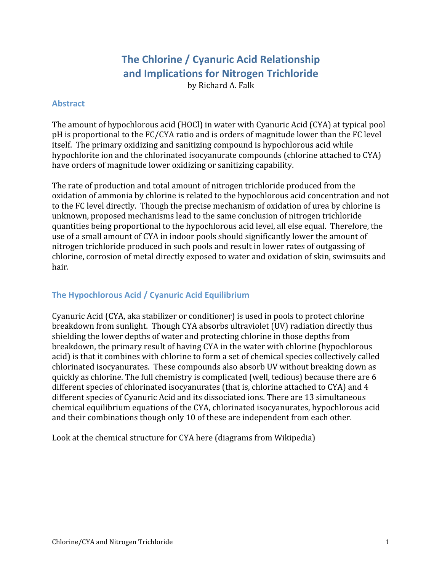# **The
Chlorine
/
Cyanuric
Acid
Relationship and
Implications
for
Nitrogen
Trichloride**

by
Richard
A.
Falk

# **Abstract**

The amount of hypochlorous acid (HOCl) in water with Cyanuric Acid (CYA) at typical pool pH is proportional to the FC/CYA ratio and is orders of magnitude lower than the FC level itself.

The
primary
oxidizing
and
sanitizing
compound
is
hypochlorous
acid
while hypochlorite ion and the chlorinated isocyanurate compounds (chlorine attached to CYA) have orders of magnitude lower oxidizing or sanitizing capability.

The
rate
of
production
and
total
amount
of
nitrogen
trichloride
produced
from
the oxidation of ammonia by chlorine is related to the hypochlorous acid concentration and not to the FC level directly. Though the precise mechanism of oxidation of urea by chlorine is unknown,
proposed
mechanisms
lead
to
the
same
conclusion
of
nitrogen
trichloride quantities
being
proportional
to
the
hypochlorous
acid
level,
all
else
equal.

Therefore,
the use of a small amount of CYA in indoor pools should significantly lower the amount of nitrogen
trichloride
produced
in
such
pools
and
result
in
lower
rates
of
outgassing
of chlorine,
corrosion
of
metal
directly
exposed
to
water
and
oxidation
of
skin,
swimsuits
and hair.

# The Hypochlorous Acid / Cyanuric Acid Equilibrium

Cyanuric
Acid
(CYA,
aka
stabilizer
or
conditioner)
is
used
in
pools
to
protect
chlorine breakdown
from
sunlight.

Though
CYA
absorbs
ultraviolet
(UV)
radiation
directly
thus shielding
the
lower
depths
of
water
and
protecting
chlorine
in
those
depths
from breakdown,
the
primary
result
of
having
CYA
in
the
water
with
chlorine
(hypochlorous acid)
is
that
it
combines
with
chlorine
to
form
a
set
of
chemical
species
collectively
called chlorinated
isocyanurates.

These
compounds
also
absorb
UV
without
breaking
down
as quickly
as
chlorine.
The
full
chemistry
is
complicated
(well,
tedious)
because
there
are
6 different species of chlorinated isocyanurates (that is, chlorine attached to CYA) and 4 different
species
of
Cyanuric
Acid
and
its
dissociated
ions.
There
are
13
simultaneous chemical
equilibrium
equations
of
the
CYA,
chlorinated
isocyanurates,
hypochlorous
acid and
their
combinations
though
only
10
of
these
are
independent
from
each
other.

Look at the chemical structure for CYA here (diagrams from Wikipedia)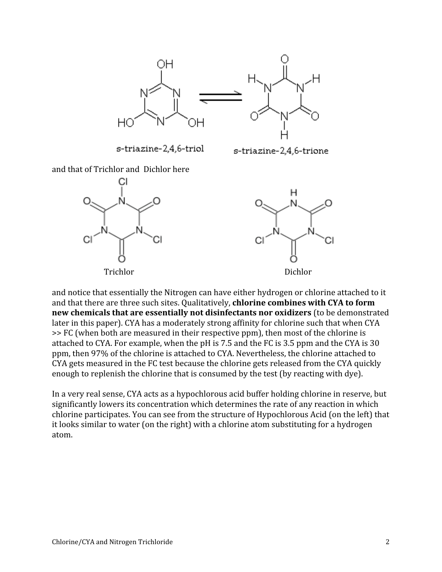

s-triazine-2,4,6-triol

s-triazine-2,4,6-trione

and
that
of
Trichlor
and

Dichlor
here



and notice that essentially the Nitrogen can have either hydrogen or chlorine attached to it and that there are three such sites. Qualitatively, **chlorine combines with CYA to form** new chemicals that are essentially not disinfectants nor oxidizers (to be demonstrated later in this paper). CYA has a moderately strong affinity for chlorine such that when CYA >>
FC
(when
both
are
measured
in
their
respective
ppm),
then
most
of
the
chlorine
is attached to CYA. For example, when the pH is 7.5 and the FC is 3.5 ppm and the CYA is 30 ppm,
then
97%
of
the
chlorine
is
attached
to
CYA.
Nevertheless,
the
chlorine
attached
to CYA gets measured in the FC test because the chlorine gets released from the CYA quickly enough to replenish the chlorine that is consumed by the test (by reacting with dye).

In a very real sense, CYA acts as a hypochlorous acid buffer holding chlorine in reserve, but significantly lowers its concentration which determines the rate of any reaction in which chlorine
participates.
You
can
see
from
the
structure
of
Hypochlorous
Acid
(on
the
left) that it looks similar to water (on the right) with a chlorine atom substituting for a hydrogen atom.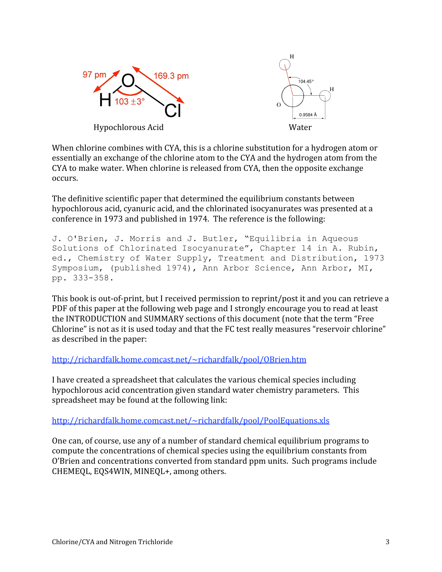

When chlorine combines with CYA, this is a chlorine substitution for a hydrogen atom or essentially
an
exchange
of
the
chlorine
atom
to
the
CYA
and
the
hydrogen
atom
from
the CYA
to
make
water.
When
chlorine
is
released
from
CYA,
then
the
opposite
exchange occurs.

The
definitive
scientific
paper
that
determined
the
equilibrium
constants
between hypochlorous acid, cyanuric acid, and the chlorinated isocyanurates was presented at a conference
in
1973
and
published
in
1974.

The
reference
is
the
following:

```
J. O'Brien, J. Morris and J. Butler, "Equilibria in Aqueous 
Solutions of Chlorinated Isocyanurate", Chapter 14 in A. Rubin, 
ed., Chemistry of Water Supply, Treatment and Distribution, 1973 
Symposium, (published 1974), Ann Arbor Science, Ann Arbor, MI, 
pp. 333-358.
```
This book is out-of-print, but I received permission to reprint/post it and you can retrieve a PDF of this paper at the following web page and I strongly encourage you to read at least the
INTRODUCTION
and
SUMMARY
sections
of
this
document
(note
that
the
term
"Free Chlorine" is not as it is used today and that the FC test really measures "reservoir chlorine" as
described
in
the
paper:

#### http://richardfalk.home.comcast.net/~richardfalk/pool/OBrien.htm

I have created a spreadsheet that calculates the various chemical species including hypochlorous acid concentration given standard water chemistry parameters. This spreadsheet
may
be
found
at
the
following
link:

http://richardfalk.home.comcast.net/~richardfalk/pool/PoolEquations.xls

One
can,
of
course,
use
any
of
a
number
of
standard
chemical
equilibrium
programs
to compute
the
concentrations
of
chemical
species
using
the
equilibrium
constants
from O'Brien
and
concentrations
converted
from
standard
ppm
units.

Such
programs
include CHEMEQL,
EQS4WIN,
MINEQL+,
among
others.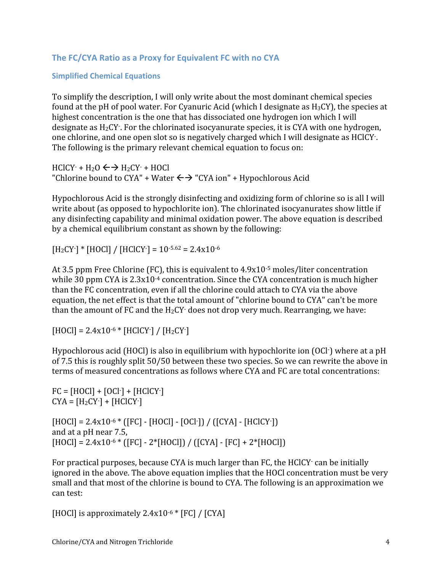# The FC/CYA Ratio as a Proxy for Equivalent FC with no CYA

#### **Simplified
Chemical
Equations**

To
simplify
the
description,
I
will
only
write
about
the
most
dominant
chemical
species found at the pH of pool water. For Cyanuric Acid (which I designate as H<sub>3</sub>CY), the species at highest concentration is the one that has dissociated one hydrogen ion which I will designate as H<sub>2</sub>CY. For the chlorinated isocyanurate species, it is CYA with one hydrogen, one chlorine, and one open slot so is negatively charged which I will designate as HClCY. The
following
is
the
primary
relevant
chemical
equation
to
focus
on:

 $HClCY - H<sub>2</sub>O \leftrightarrow H<sub>2</sub>CY - HOCl$ "Chlorine bound to CYA" + Water  $\leftrightarrow$  "CYA ion" + Hypochlorous Acid

Hypochlorous Acid is the strongly disinfecting and oxidizing form of chlorine so is all I will write about (as opposed to hypochlorite ion). The chlorinated isocyanurates show little if any
disinfecting
capability
and
minimal
oxidation
power.
The
above
equation
is
described by
a
chemical
equilibrium
constant
as
shown
by
the
following:

 $[H_2CY^{-}]$  \* [HOCl] / [HClCY-] = 10<sup>-5.62</sup> = 2.4x10<sup>-6</sup>

At 3.5 ppm Free Chlorine (FC), this is equivalent to 4.9x10<sup>-5</sup> moles/liter concentration while 30 ppm CYA is  $2.3x10^{-4}$  concentration. Since the CYA concentration is much higher than
the
FC
concentration,
even
if
all
the
chlorine
could
attach
to
CYA
via
the
above equation,
the
net
effect
is
that
the
total
amount
of
"chlorine
bound
to
CYA"
can't
be
more than the amount of FC and the  $H_2CY$  does not drop very much. Rearranging, we have:

 $[HOCI] = 2.4x10^{-6} * [HClCY^{-}] / [H<sub>2</sub>CY^{-}]$ 

Hypochlorous acid (HOCl) is also in equilibrium with hypochlorite ion (OCl·) where at a pH of
7.5
this
is
roughly
split
50/50
between
these
two
species.
So
we
can
rewrite
the
above
in terms
of
measured
concentrations
as
follows
where
CYA
and
FC
are
total
concentrations:

```
FC = [HOCI] + [OCI<sup>-</sup>] + [HClCY<sup>-</sup>]CYA = [H<sub>2</sub>CY<sup>2</sup>] + [HClCY<sup>2</sup>][HOCI] = 2.4x10^{-6} * ([FC] - [HOCI] - [OCI<sup>-</sup>]) / ([CYA] - [HClCY<sup>-</sup>])
and
at
a
pH
near
7.5,
[HOCI] = 2.4x10^{-6} * ([FC] - 2*[HOCI]) / ([CYA] - [FC] + 2*[HOCI])
```
For practical purposes, because CYA is much larger than FC, the HClCY can be initially ignored in the above. The above equation implies that the HOCl concentration must be very small and that most of the chlorine is bound to CYA. The following is an approximation we can
test:

[HOCl] is approximately  $2.4x10^{-6}$  \* [FC] / [CYA]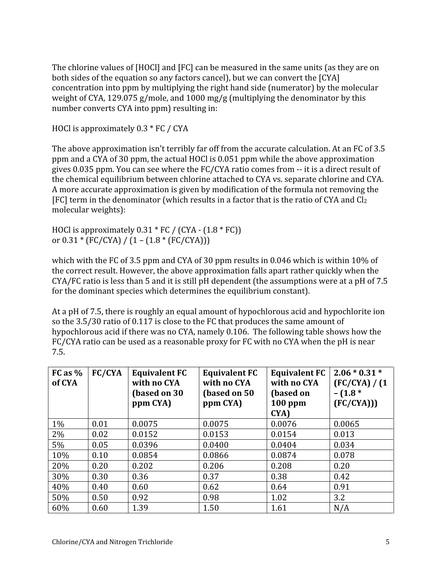The chlorine values of [HOCl] and [FC] can be measured in the same units (as they are on both sides of the equation so any factors cancel), but we can convert the [CYA] concentration
into
ppm
by
multiplying
the
right
hand
side
(numerator)
by
the
molecular weight of CYA, 129.075 g/mole, and 1000 mg/g (multiplying the denominator by this number
converts
CYA
into
ppm)
resulting
in:

HOCl is approximately 0.3 \* FC / CYA

The above approximation isn't terribly far off from the accurate calculation. At an FC of 3.5 ppm
and
a
CYA
of
30
ppm,
the
actual
HOCl
is
0.051
ppm
while
the
above
approximation gives 0.035 ppm. You can see where the FC/CYA ratio comes from -- it is a direct result of the
chemical
equilibrium
between
chlorine
attached
to
CYA
vs.
separate
chlorine
and
CYA. A
more
accurate
approximation
is
given
by
modification
of
the
formula
not
removing
the [FC] term in the denominator (which results in a factor that is the ratio of CYA and Cl<sub>2</sub> molecular
weights):

HOCl is approximately  $0.31 * FC$  / (CYA -  $(1.8 * FC)$ ) or  $0.31 * (FC/CYA) / (1 - (1.8 * (FC/CYA)))$ 

which with the FC of 3.5 ppm and CYA of 30 ppm results in 0.046 which is within 10% of the
correct
result.
However,
the
above
approximation
falls
apart
rather
quickly
when
the CYA/FC ratio is less than 5 and it is still pH dependent (the assumptions were at a pH of 7.5 for
the
dominant
species
which
determines
the
equilibrium
constant).

At a pH of 7.5, there is roughly an equal amount of hypochlorous acid and hypochlorite ion so the 3.5/30 ratio of 0.117 is close to the FC that produces the same amount of hypochlorous acid if there was no CYA, namely 0.106. The following table shows how the FC/CYA ratio can be used as a reasonable proxy for FC with no CYA when the pH is near 7.5.

| $FC$ as $%$<br>of CYA | FC/CYA | <b>Equivalent FC</b><br>with no CYA<br>(based on 30<br>ppm CYA) | <b>Equivalent FC</b><br>with no CYA<br>(based on 50)<br>ppm CYA) | <b>Equivalent FC</b><br>with no CYA<br>(based on<br>$100$ ppm<br>CYA) | $2.06 * 0.31 *$<br>$FC/CYA$ ) / (1<br>$-$ (1.8 $*$<br>(FC/CYA)) |
|-----------------------|--------|-----------------------------------------------------------------|------------------------------------------------------------------|-----------------------------------------------------------------------|-----------------------------------------------------------------|
| $1\%$                 | 0.01   | 0.0075                                                          | 0.0075                                                           | 0.0076                                                                | 0.0065                                                          |
| 2%                    | 0.02   | 0.0152                                                          | 0.0153                                                           | 0.0154                                                                | 0.013                                                           |
| 5%                    | 0.05   | 0.0396                                                          | 0.0400                                                           | 0.0404                                                                | 0.034                                                           |
| 10%                   | 0.10   | 0.0854                                                          | 0.0866                                                           | 0.0874                                                                | 0.078                                                           |
| 20%                   | 0.20   | 0.202                                                           | 0.206                                                            | 0.208                                                                 | 0.20                                                            |
| 30%                   | 0.30   | 0.36                                                            | 0.37                                                             | 0.38                                                                  | 0.42                                                            |
| 40%                   | 0.40   | 0.60                                                            | 0.62                                                             | 0.64                                                                  | 0.91                                                            |
| 50%                   | 0.50   | 0.92                                                            | 0.98                                                             | 1.02                                                                  | 3.2                                                             |
| 60%                   | 0.60   | 1.39                                                            | 1.50                                                             | 1.61                                                                  | N/A                                                             |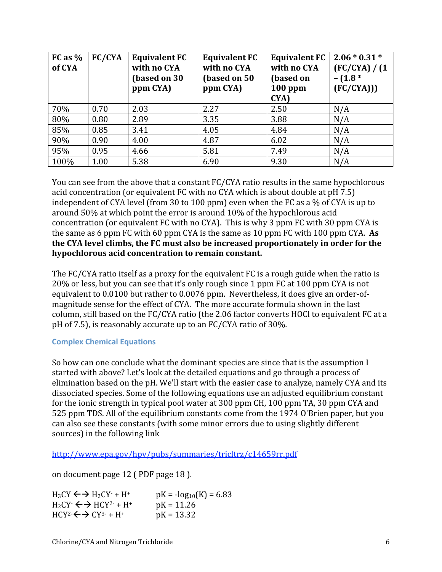| $FC$ as $%$<br>of CYA | FC/CYA | <b>Equivalent FC</b><br>with no CYA<br>(based on 30<br>ppm CYA) | <b>Equivalent FC</b><br>with no CYA<br>(based on 50)<br>ppm CYA) | <b>Equivalent FC</b><br>with no CYA<br>(based on<br>$100$ ppm<br>CYA) | $2.06 * 0.31 *$<br>(FC/CYA) / (1<br>$-$ (1.8 $*$<br>(FC/CYA)) |
|-----------------------|--------|-----------------------------------------------------------------|------------------------------------------------------------------|-----------------------------------------------------------------------|---------------------------------------------------------------|
| 70%                   | 0.70   | 2.03                                                            | 2.27                                                             | 2.50                                                                  | N/A                                                           |
| 80%                   | 0.80   | 2.89                                                            | 3.35                                                             | 3.88                                                                  | N/A                                                           |
| 85%                   | 0.85   | 3.41                                                            | 4.05                                                             | 4.84                                                                  | N/A                                                           |
| 90%                   | 0.90   | 4.00                                                            | 4.87                                                             | 6.02                                                                  | N/A                                                           |
| 95%                   | 0.95   | 4.66                                                            | 5.81                                                             | 7.49                                                                  | N/A                                                           |
| 100%                  | 1.00   | 5.38                                                            | 6.90                                                             | 9.30                                                                  | N/A                                                           |

You can see from the above that a constant FC/CYA ratio results in the same hypochlorous acid concentration (or equivalent FC with no CYA which is about double at pH 7.5) independent of CYA level (from 30 to 100 ppm) even when the FC as a % of CYA is up to around
50%
at
which
point
the
error
is
around
10%
of
the
hypochlorous
acid concentration
(or
equivalent
FC
with
no
CYA).

This
is
why
3
ppm
FC
with
30
ppm
CYA
is the same as 6 ppm FC with 60 ppm CYA is the same as 10 ppm FC with 100 ppm CYA. As the CYA level climbs, the FC must also be increased proportionately in order for the **hypochlorous
acid
concentration
to
remain
constant.**

The FC/CYA ratio itself as a proxy for the equivalent FC is a rough guide when the ratio is 20%
or
less,
but
you
can
see
that
it's
only
rough
since
1
ppm
FC
at
100
ppm
CYA
is
not equivalent to 0.0100 but rather to 0.0076 ppm. Nevertheless, it does give an order-ofmagnitude
sense
for
the
effect
of
CYA.

The
more
accurate
formula
shown
in
the
last column, still based on the FC/CYA ratio (the 2.06 factor converts HOCl to equivalent FC at a pH of 7.5), is reasonably accurate up to an FC/CYA ratio of 30%.

#### **Complex
Chemical
Equations**

So how can one conclude what the dominant species are since that is the assumption I started
with
above?
Let's
look
at
the
detailed
equations
and
go
through
a
process
of elimination based on the pH. We'll start with the easier case to analyze, namely CYA and its dissociated
species.
Some
of
the
following
equations
use
an
adjusted
equilibrium
constant for the ionic strength in typical pool water at 300 ppm CH, 100 ppm TA, 30 ppm CYA and 525
ppm
TDS.
All
of
the
equilibrium
constants
come
from
the
1974
O'Brien
paper, but
you can
also
see
these
constants
(with
some
minor
errors
due
to
using
slightly
different sources)
in
the
following
link

http://www.epa.gov/hpv/pubs/summaries/tricltrz/c14659rr.pdf

on
document
page
12
(
PDF
page
18
).

| $H_3CY \leftrightarrow H_2CY \rightarrow H^+$ | $pK = -\log_{10}(K) = 6.83$ |
|-----------------------------------------------|-----------------------------|
| $H_2CY \leftrightarrow HCY^{2-} + H^+$        | $pK = 11.26$                |
| $HCY^2 \leftarrow \rightarrow CY^{3-} + H^+$  | $pK = 13.32$                |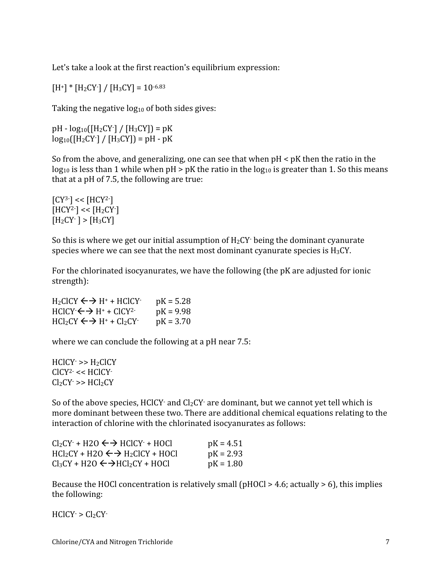Let's take a look at the first reaction's equilibrium expression:

 $[H^+]$  \*  $[H_2CY^-] / [H_3CY] = 10^{-6.83}$ 

Taking the negative  $log_{10}$  of both sides gives:

 $pH - log_{10}([H_2CY^{-}] / [H_3CY]) = pK$  $log_{10}([H_2CY^{\cdot}]/[H_3CY]) = pH - pK$ 

So from the above, and generalizing, one can see that when  $pH \leq pK$  then the ratio in the  $log_{10}$  is less than 1 while when pH > pK the ratio in the  $log_{10}$  is greater than 1. So this means that at a pH of 7.5, the following are true:

 $[CY^{3-}] << [HCY^{2-}]$  $[HCY<sup>2</sup>]<$  <  $[H<sub>2</sub>CY]$  $[H<sub>2</sub> CY<sup>-</sup>] > [H<sub>3</sub> CY]$ 

So this is where we get our initial assumption of  $H_2CY$  being the dominant cyanurate species where we can see that the next most dominant cyanurate species is  $H_3CY$ .

For the chlorinated isocyanurates, we have the following (the pK are adjusted for ionic strength):

 $H_2CICY \leftarrow \rightarrow H^+ + HClCY$  pK = 5.28  $HClCY \leftrightarrow H^+ + ClCY^{2-} \qquad pK = 9.98$  $HCl<sub>2</sub>CY \leftrightarrow H<sup>+</sup> + Cl<sub>2</sub>CY$  pK = 3.70

where we can conclude the following at a pH near 7.5:

 $HClCY \Rightarrow H_2ClCY$ CICY<sup>2</sup> - << HCICY  $Cl_2CY \Rightarrow HCl_2CY$ 

So of the above species, HClCY $\cdot$  and Cl<sub>2</sub>CY $\cdot$  are dominant, but we cannot yet tell which is more dominant between these two. There are additional chemical equations relating to the interaction
of
chlorine
with
the
chlorinated
isocyanurates
as
follows:

| $Cl_2CY$ + H2O $\leftrightarrow$ HClCY + HOCl        | $pK = 4.51$ |
|------------------------------------------------------|-------------|
| $HCl_2CY + H2O \leftrightarrow H_2ClCY + HOCI$       | $pK = 2.93$ |
| $Cl_3CY + H2O \leftarrow \rightarrow HCl_2CY + HOCI$ | $pK = 1.80$ |

Because the HOCl concentration is relatively small (pHOCl > 4.6; actually > 6), this implies the
following:

 $HClCY$  >  $Cl_2CY$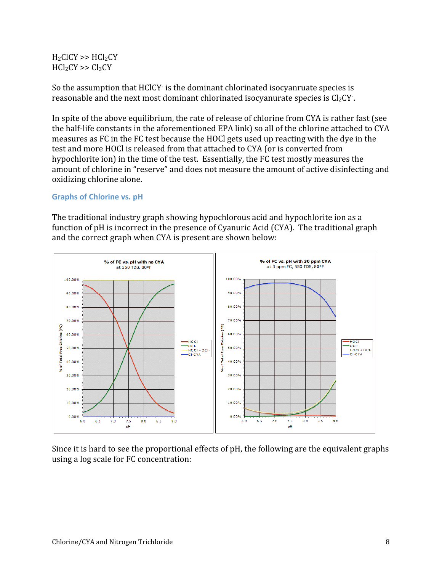# $H_2CICY \gg HCl_2CY$  $HCl<sub>2</sub>CY \gg Cl<sub>3</sub>CY$

So the assumption that HClCY is the dominant chlorinated isocyanruate species is reasonable and the next most dominant chlorinated isocyanurate species is  $\text{Cl}_2\text{CY}$  .

In spite of the above equilibrium, the rate of release of chlorine from CYA is rather fast (see the half-life constants in the aforementioned EPA link) so all of the chlorine attached to CYA measures as FC in the FC test because the HOCl gets used up reacting with the dye in the test and more HOCl is released from that attached to CYA (or is converted from hypochlorite ion) in the time of the test. Essentially, the FC test mostly measures the amount
of
chlorine
in
"reserve"
and
does
not
measure
the
amount
of
active
disinfecting
and oxidizing
chlorine
alone.

# **Graphs
of
Chlorine
vs.
pH**

The traditional industry graph showing hypochlorous acid and hypochlorite ion as a function of pH is incorrect in the presence of Cyanuric Acid (CYA). The traditional graph and
the
correct
graph
when
CYA
is
present
are
shown
below:



Since it is hard to see the proportional effects of pH, the following are the equivalent graphs using
a
log
scale
for
FC
concentration: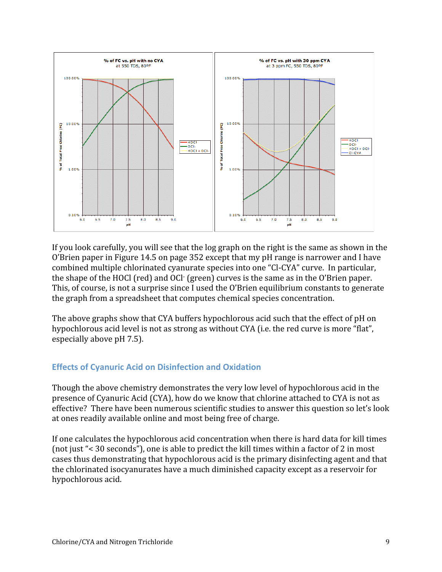

If you look carefully, you will see that the log graph on the right is the same as shown in the O'Brien paper in Figure 14.5 on page 352 except that my pH range is narrower and I have combined
multiple
chlorinated
cyanurate
species
into
one
"Cl‐CYA"
curve.

In
particular, the shape of the HOCl (red) and OCl<sup>.</sup> (green) curves is the same as in the O'Brien paper. This, of course, is not a surprise since I used the O'Brien equilibrium constants to generate the
graph
from
a
spreadsheet
that
computes
chemical
species
concentration.

The above graphs show that CYA buffers hypochlorous acid such that the effect of pH on hypochlorous acid level is not as strong as without CYA (i.e. the red curve is more "flat", especially
above
pH
7.5).

# **Effects
of
Cyanuric
Acid
on
Disinfection
and
Oxidation**

Though
the
above
chemistry
demonstrates
the
very
low
level
of
hypochlorous
acid
in
the presence
of
Cyanuric
Acid
(CYA),
how
do
we
know
that
chlorine
attached
to
CYA
is
not
as effective?

There
have
been
numerous
scientific
studies
to
answer
this
question
so
let's
look at
ones
readily
available
online
and
most
being free
of
charge.

If
one
calculates
the
hypochlorous
acid
concentration
when
there
is
hard
data
for
kill
times (not
just
"<
30
seconds"),
one
is
able
to
predict
the
kill
times
within
a
factor
of
2
in
most cases
thus
demonstrating
that
hypochlorous
acid
is
the
primary
disinfecting
agent
and
that the
chlorinated
isocyanurates
have
a
much
diminished
capacity
except
as
a
reservoir
for hypochlorous
acid.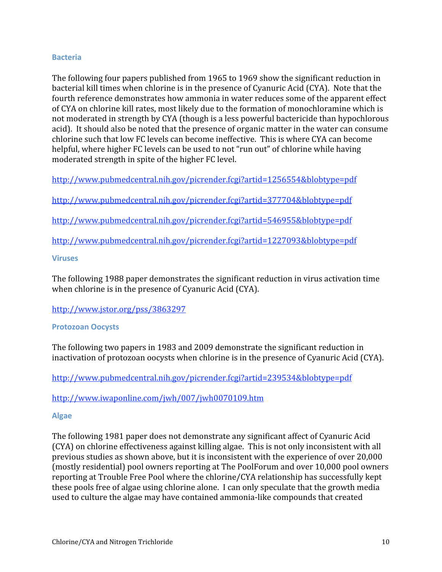#### **Bacteria**

The
following
four
papers
published
from
1965
to
1969
show
the
significant
reduction
in bacterial kill times when chlorine is in the presence of Cyanuric Acid (CYA). Note that the fourth reference demonstrates how ammonia in water reduces some of the apparent effect of
CYA
on
chlorine
kill
rates,
most
likely
due
to
the
formation
of
monochloramine
which
is not
moderated
in
strength
by
CYA
(though
is
a
less
powerful
bactericide
than
hypochlorous acid). It should also be noted that the presence of organic matter in the water can consume chlorine
such
that
low
FC
levels
can
become
ineffective.

This
is
where
CYA
can
become helpful, where higher FC levels can be used to not "run out" of chlorine while having moderated
strength
in
spite
of
the
higher
FC
level.

http://www.pubmedcentral.nih.gov/picrender.fcgi?artid=1256554&blobtype=pdf

http://www.pubmedcentral.nih.gov/picrender.fcgi?artid=377704&blobtype=pdf

http://www.pubmedcentral.nih.gov/picrender.fcgi?artid=546955&blobtype=pdf

http://www.pubmedcentral.nih.gov/picrender.fcgi?artid=1227093&blobtype=pdf

#### **Viruses**

The
following
1988
paper
demonstrates
the
significant
reduction
in
virus
activation
time when chlorine is in the presence of Cyanuric Acid (CYA).

http://www.jstor.org/pss/3863297

#### **Protozoan
Oocysts**

The
following
two
papers
in
1983
and
2009
demonstrate
the
significant
reduction
in inactivation of protozoan oocysts when chlorine is in the presence of Cyanuric Acid (CYA).

http://www.pubmedcentral.nih.gov/picrender.fcgi?artid=239534&blobtype=pdf

http://www.iwaponline.com/jwh/007/jwh0070109.htm

#### **Algae**

The
following
1981
paper
does
not
demonstrate
any
significant
affect
of
Cyanuric
Acid (CYA)
on
chlorine
effectiveness
against
killing
algae.

This
is
not
only
inconsistent
with
all previous
studies
as
shown
above,
but
it
is
inconsistent
with
the
experience
of
over
20,000 (mostly
residential)
pool
owners
reporting
at
The
PoolForum
and
over
10,000
pool
owners reporting
at
Trouble
Free
Pool
where
the
chlorine/CYA
relationship
has
successfully
kept these
pools
free
of
algae
using
chlorine
alone.

I
can
only
speculate
that
the
growth
media used
to
culture
the
algae
may
have
contained
ammonia‐like
compounds
that
created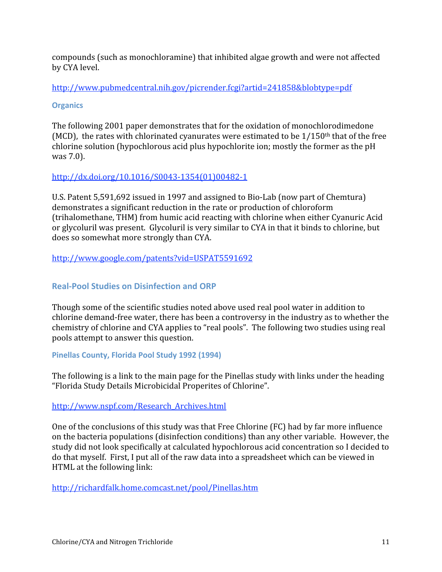compounds
(such
as
monochloramine)
that
inhibited
algae
growth
and
were
not
affected by
CYA
level.

http://www.pubmedcentral.nih.gov/picrender.fcgi?artid=241858&blobtype=pdf

# **Organics**

The
following
2001
paper
demonstrates
that
for
the
oxidation
of
monochlorodimedone (MCD), the rates with chlorinated cyanurates were estimated to be  $1/150$ <sup>th</sup> that of the free chlorine
solution
(hypochlorous
acid
plus
hypochlorite
ion;
mostly
the
former
as
the
pH was
7.0).

# http://dx.doi.org/10.1016/S0043‐1354(01)00482‐1

U.S. Patent 5,591,692 issued in 1997 and assigned to Bio-Lab (now part of Chemtura) demonstrates
a
significant
reduction
in
the
rate
or
production
of
chloroform (trihalomethane,
THM)
from
humic
acid
reacting
with
chlorine
when
either
Cyanuric
Acid or
glycoluril
was
present.

Glycoluril
is
very
similar
to
CYA
in
that
it
binds
to
chlorine,
but does
so
somewhat
more
strongly
than
CYA.

# http://www.google.com/patents?vid=USPAT5591692

# **Real‐Pool
Studies
on
Disinfection
and
ORP**

Though
some
of
the
scientific
studies
noted
above
used
real
pool
water
in
addition
to chlorine
demand‐free
water,
there
has
been
a
controversy
in
the
industry
as
to
whether
the chemistry of chlorine and CYA applies to "real pools". The following two studies using real pools
attempt
to
answer
this
question.

#### **Pinellas
County,
Florida
Pool
Study
1992
(1994)**

The following is a link to the main page for the Pinellas study with links under the heading "Florida
Study
Details
Microbicidal
Properites
of
Chlorine".

#### http://www.nspf.com/Research\_Archives.html

One of the conclusions of this study was that Free Chlorine (FC) had by far more influence on
the
bacteria
populations
(disinfection
conditions)
than
any
other
variable.

However,
the study did not look specifically at calculated hypochlorous acid concentration so I decided to do
that
myself.

First,
I
put
all
of
the
raw
data
into
a
spreadsheet
which
can
be
viewed
in HTML
at
the
following
link:

http://richardfalk.home.comcast.net/pool/Pinellas.htm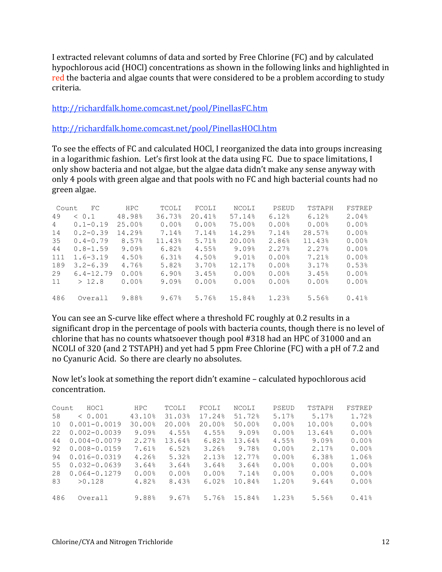I extracted relevant columns of data and sorted by Free Chlorine (FC) and by calculated hypochlorous acid (HOCl) concentrations as shown in the following links and highlighted in red the bacteria and algae counts that were considered to be a problem according to study criteria.

http://richardfalk.home.comcast.net/pool/PinellasFC.htm

http://richardfalk.home.comcast.net/pool/PinellasHOCl.htm

To
see
the
effects
of
FC
and
calculated
HOCl,
I
reorganized
the
data
into
groups
increasing in
a
logarithmic
fashion.

Let's
first
look
at
the
data
using
FC.

Due
to
space
limitations,
I only
show
bacteria
and
not
algae,
but
the
algae
data
didn't
make
any
sense
anyway
with only
4
pools
with
green
algae
and
that
pools with
no FC
and high
bacterial counts
had
no green
algae.

| Count | FC            | <b>HPC</b> | TCOLI  | FCOLI  | NCOLI  | PSEUD | TSTAPH | FSTREP |
|-------|---------------|------------|--------|--------|--------|-------|--------|--------|
| 49    | < 0.1         | 48.98%     | 36.73% | 20.41% | 57.14% | 6.12% | 6.12%  | 2.04%  |
| 4     | $0.1 - 0.19$  | 25.00%     | 0.00%  | 0.00%  | 75.00% | 0.00% | 0.00%  | 0.00%  |
| 14    | $0.2 - 0.39$  | 14.29%     | 7.14%  | 7.14%  | 14.29% | 7.14% | 28.57% | 0.00%  |
| 35    | $0.4 - 0.79$  | 8.57%      | 11.43% | 5.71%  | 20.00% | 2.86% | 11.43% | 0.00%  |
| 44    | $0.8 - 1.59$  | 9.09%      | 6.82%  | 4.55%  | 9.09%  | 2.27% | 2.27%  | 0.00%  |
| 111   | $1.6 - 3.19$  | 4.50%      | 6.31%  | 4.50%  | 9.01%  | 0.00% | 7.21%  | 0.00%  |
| 189   | $3.2 - 6.39$  | 4.76%      | 5.82%  | 3.70%  | 12.17% | 0.00% | 3.17%  | 0.53%  |
| 29    | $6.4 - 12.79$ | 0.00%      | 6.90%  | 3.45%  | 0.00%  | 0.00% | 3.45%  | 0.00%  |
| 11    | >12.8         | 0.00%      | 9.09%  | 0.00%  | 0.00%  | 0.00% | 0.00%  | 0.00%  |
|       |               |            |        |        |        |       |        |        |
| 486   | Overall       | 9.88%      | 9.67%  | 5.76%  | 15.84% | 1.23% | 5.56%  | 0.41%  |

You can see an S-curve like effect where a threshold FC roughly at 0.2 results in a significant drop in the percentage of pools with bacteria counts, though there is no level of chlorine
that
has
no
counts
whatsoever
though
pool
#318
had
an
HPC
of
31000
and
an NCOLI of 320 (and 2 TSTAPH) and yet had 5 ppm Free Chlorine (FC) with a pH of 7.2 and no
Cyanuric
Acid.

So
there
are
clearly
no
absolutes.

Now
let's
look
at
something
the
report
didn't
examine
–
calculated
hypochlorous
acid concentration.

| Count | HOC1             | HPC.   | TCOLI  | FCOLI  | NCOLI  | PSEUD | TSTAPH | FSTREP |
|-------|------------------|--------|--------|--------|--------|-------|--------|--------|
| 58    | < 0.001          | 43.10% | 31.03% | 17.24% | 51.72% | 5.17% | 5.17%  | 1.72%  |
| 10    | $0.001 - 0.0019$ | 30.00% | 20.00% | 20.00% | 50.00% | 0.00% | 10.00% | 0.00%  |
| 22    | $0.002 - 0.0039$ | 9.09%  | 4.55%  | 4.55%  | 9.09%  | 0.00% | 13.64% | 0.00%  |
| 44    | $0.004 - 0.0079$ | 2.27%  | 13.64% | 6.82%  | 13.64% | 4.55% | 9.09%  | 0.00%  |
| 92    | $0.008 - 0.0159$ | 7.61%  | 6.52%  | 3.26%  | 9.78%  | 0.00% | 2.17%  | 0.00%  |
| 94    | $0.016 - 0.0319$ | 4.26%  | 5.32%  | 2.13%  | 12.77% | 0.00% | 6.38%  | 1.06%  |
| 55    | $0.032 - 0.0639$ | 3.64%  | 3.64%  | 3.64%  | 3.64%  | 0.00% | 0.00%  | 0.00%  |
| 28    | $0.064 - 0.1279$ | 0.00%  | 0.00%  | 0.00%  | 7.14%  | 0.00% | 0.00%  | 0.00%  |
| 83    | >0.128           | 4.82%  | 8.43%  | 6.02%  | 10.84% | 1.20% | 9.64%  | 0.00%  |
|       |                  |        |        |        |        |       |        |        |
| 486   | Overall          | 9.88%  | 9.67%  | 5.76%  | 15.84% | 1.23% | 5.56%  | 0.41%  |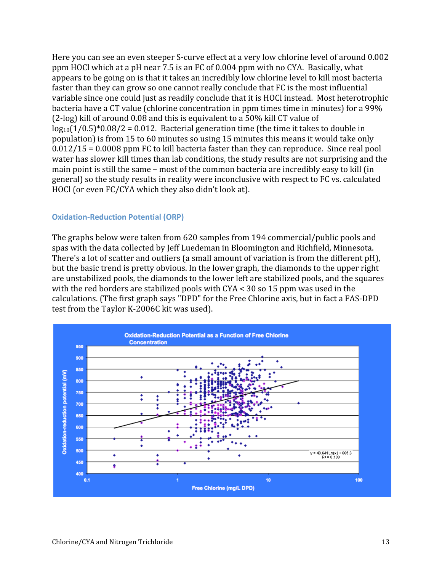Here you can see an even steeper S-curve effect at a very low chlorine level of around 0.002 ppm HOCl which at a pH near 7.5 is an FC of 0.004 ppm with no CYA. Basically, what appears
to
be
going
on
is
that
it
takes
an
incredibly
low
chlorine
level
to
kill
most
bacteria faster than they can grow so one cannot really conclude that FC is the most influential variable since one could just as readily conclude that it is HOCl instead. Most heterotrophic bacteria have a CT value (chlorine concentration in ppm times time in minutes) for a 99% (2‐log)
kill
of
around
0.08
and
this
is
equivalent
to
a
50%
kill
CT
value
of  $log_{10}(1/0.5)^*0.08/2 = 0.012$ . Bacterial generation time (the time it takes to double in population)
is
from
15
to
60
minutes
so
using
15
minutes
this
means
it
would
take
only 0.012/15
=
0.0008
ppm
FC
to
kill
bacteria
faster
than
they
can
reproduce.

Since
real
pool water has slower kill times than lab conditions, the study results are not surprising and the main
point
is
still
the
same
–
most
of
the
common
bacteria
are
incredibly
easy
to
kill
(in general)
so
the
study
results
in
reality
were
inconclusive
with
respect
to
FC
vs.
calculated HOCl
(or
even
FC/CYA
which
they
also
didn't
look
at).

#### **Oxidation‐Reduction
Potential
(ORP)**

The
graphs
below
were
taken
from
620
samples
from
194
commercial/public
pools
and spas
with
the
data
collected
by
Jeff
Luedeman
in
Bloomington
and
Richfield,
Minnesota. There's a lot of scatter and outliers (a small amount of variation is from the different pH), but
the
basic
trend
is
pretty
obvious.
In
the
lower
graph,
the
diamonds
to
the
upper
right are
unstabilized
pools,
the
diamonds
to
the
lower
left
are
stabilized
pools,
and
the
squares with the red borders are stabilized pools with CYA < 30 so 15 ppm was used in the calculations.
(The
first
graph
says
"DPD"
for
the
Free
Chlorine
axis,
but
in
fact
a
FAS‐DPD test
from
the
Taylor
K‐2006C
kit
was
used).

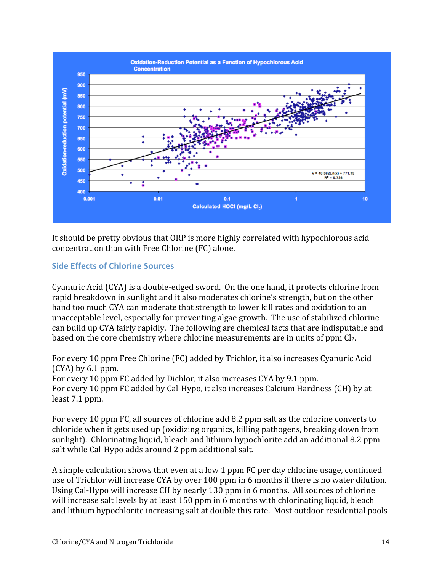

It should be pretty obvious that ORP is more highly correlated with hypochlorous acid concentration
than
with
Free
Chlorine
(FC)
alone.

# **Side
Effects
of
Chlorine
Sources**

Cyanuric
Acid
(CYA)
is
a
double‐edged
sword.

On
the
one
hand,
it
protects
chlorine
from rapid breakdown in sunlight and it also moderates chlorine's strength, but on the other hand too much CYA can moderate that strength to lower kill rates and oxidation to an unacceptable
level,
especially
for
preventing
algae
growth.

The
use
of
stabilized
chlorine can
build
up
CYA
fairly
rapidly.

The
following
are
chemical
facts
that
are
indisputable
and based on the core chemistry where chlorine measurements are in units of ppm Cl<sub>2</sub>.

For
every
10
ppm
Free
Chlorine
(FC)
added
by
Trichlor,
it
also
increases
Cyanuric
Acid (CYA)
by
6.1
ppm.

For every 10 ppm FC added by Dichlor, it also increases CYA by 9.1 ppm. For every 10 ppm FC added by Cal-Hypo, it also increases Calcium Hardness (CH) by at least
7.1
ppm.

For every 10 ppm FC, all sources of chlorine add 8.2 ppm salt as the chlorine converts to chloride
when
it
gets
used
up
(oxidizing
organics,
killing
pathogens,
breaking
down
from sunlight). Chlorinating liquid, bleach and lithium hypochlorite add an additional 8.2 ppm salt while Cal-Hypo adds around 2 ppm additional salt.

A
simple
calculation
shows
that
even
at
a
low
1
ppm
FC
per
day
chlorine
usage,
continued use of Trichlor will increase CYA by over 100 ppm in 6 months if there is no water dilution. Using Cal-Hypo will increase CH by nearly 130 ppm in 6 months. All sources of chlorine will increase salt levels by at least 150 ppm in 6 months with chlorinating liquid, bleach and
lithium
hypochlorite
increasing
salt
at
double
this
rate.

Most
outdoor
residential
pools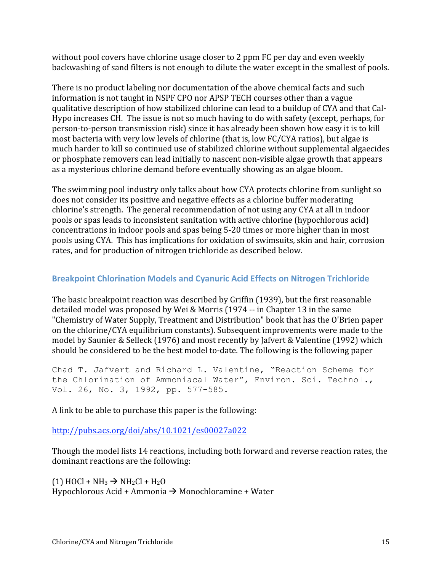without pool covers have chlorine usage closer to 2 ppm FC per day and even weekly backwashing
of
sand
filters
is
not
enough
to
dilute
the
water
except
in
the
smallest
of
pools.

There is no product labeling nor documentation of the above chemical facts and such information
is
not
taught
in
NSPF
CPO
nor
APSP
TECH
courses
other
than
a
vague qualitative description of how stabilized chlorine can lead to a buildup of CYA and that Cal-Hypo increases CH. The issue is not so much having to do with safety (except, perhaps, for person-to-person transmission risk) since it has already been shown how easy it is to kill most
bacteria
with
very
low
levels
of
chlorine
(that
is,
low
FC/CYA
ratios),
but
algae
is much
harder
to
kill
so
continued
use
of
stabilized
chlorine
without
supplemental
algaecides or
phosphate
removers
can
lead
initially
to
nascent
non‐visible
algae
growth
that
appears as
a
mysterious
chlorine
demand
before
eventually
showing
as
an
algae
bloom.

The swimming pool industry only talks about how CYA protects chlorine from sunlight so does
not
consider
its
positive
and
negative
effects
as
a
chlorine
buffer
moderating chlorine's
strength.

The
general
recommendation
of
not
using
any
CYA
at
all
in
indoor pools
or
spas
leads
to
inconsistent
sanitation
with
active
chlorine
(hypochlorous
acid) concentrations
in
indoor
pools
and
spas
being
5‐20
times
or
more
higher
than
in
most pools
using
CYA.

This
has
implications
for
oxidation
of
swimsuits,
skin
and
hair,
corrosion rates,
and
for
production
of
nitrogen
trichloride
as
described
below.

# **Breakpoint
Chlorination
Models
and
Cyanuric
Acid
Effects
on
Nitrogen
Trichloride**

The basic breakpoint reaction was described by Griffin (1939), but the first reasonable detailed model was proposed by Wei & Morris (1974 -- in Chapter 13 in the same "Chemistry
of
Water
Supply,
Treatment
and
Distribution"
book
that
has
the
O'Brien
paper on
the
chlorine/CYA
equilibrium
constants).
Subsequent
improvements
were
made
to
the model
by
Saunier
&
Selleck
(1976)
and
most
recently
by
Jafvert
&
Valentine
(1992)
which should be considered to be the best model to-date. The following is the following paper

Chad T. Jafvert and Richard L. Valentine, "Reaction Scheme for the Chlorination of Ammoniacal Water", Environ. Sci. Technol., Vol. 26, No. 3, 1992, pp. 577-585.

A
link
to
be
able
to
purchase
this
paper
is
the
following:

http://pubs.acs.org/doi/abs/10.1021/es00027a022

Though the model lists 14 reactions, including both forward and reverse reaction rates, the dominant
reactions
are
the
following:

 $(1)$  HOCl + NH<sub>3</sub>  $\rightarrow$  NH<sub>2</sub>Cl + H<sub>2</sub>O Hypochlorous
Acid
+
Ammonia Monochloramine
+
Water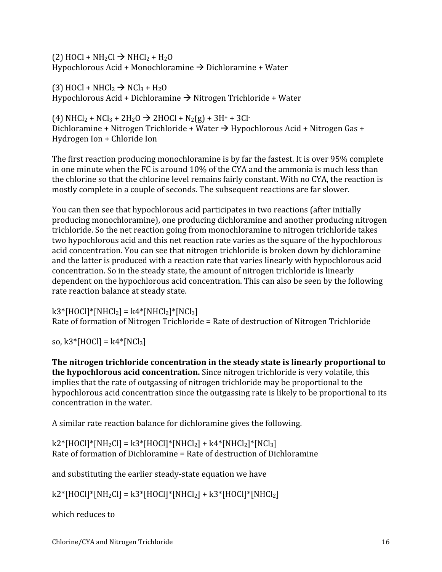$(2)$  HOCl + NH<sub>2</sub>Cl  $\rightarrow$  NHCl<sub>2</sub> + H<sub>2</sub>O Hypochlorous
Acid
+
Monochloramine Dichloramine
+
Water

 $(3)$  HOCl + NHCl<sub>2</sub>  $\rightarrow$  NCl<sub>3</sub> + H<sub>2</sub>O Hypochlorous
Acid
+
Dichloramine Nitrogen
Trichloride
+
Water

 $(4)$  NHCl<sub>2</sub> + NCl<sub>3</sub> + 2H<sub>2</sub>O  $\rightarrow$  2HOCl + N<sub>2</sub>(g) + 3H<sup>+</sup> + 3Cl<sup>-</sup> Dichloramine + Nitrogen Trichloride + Water  $\rightarrow$  Hypochlorous Acid + Nitrogen Gas + Hydrogen Ion + Chloride Ion

The
first
reaction
producing
monochloramine
is
by
far
the
fastest.
It
is
over
95%
complete in one minute when the FC is around 10% of the CYA and the ammonia is much less than the chlorine so that the chlorine level remains fairly constant. With no CYA, the reaction is mostly complete in a couple of seconds. The subsequent reactions are far slower.

You can then see that hypochlorous acid participates in two reactions (after initially producing
monochloramine),
one
producing
dichloramine
and
another
producing
nitrogen trichloride. So the net reaction going from monochloramine to nitrogen trichloride takes two
hypochlorous
acid
and
this
net
reaction
rate
varies
as
the
square
of
the
hypochlorous acid
concentration.
You
can
see
that
nitrogen
trichloride
is
broken
down
by
dichloramine and
the
latter
is
produced
with
a
reaction
rate
that
varies
linearly
with
hypochlorous
acid concentration.
So
in
the
steady
state,
the
amount
of
nitrogen
trichloride
is
linearly dependent on the hypochlorous acid concentration. This can also be seen by the following rate
reaction
balance
at
steady
state.

 $k3*$ [HOCl]\*[NHCl<sub>2</sub>] =  $k4*$ [NHCl<sub>2</sub>]\*[NCl<sub>3</sub>] Rate
of
formation
of
Nitrogen
Trichloride
=
Rate
of
destruction
of
Nitrogen
Trichloride

so,  $k3$ <sup>\*</sup>[HOCl] =  $k4$ <sup>\*</sup>[NCl<sub>3</sub>]

The nitrogen trichloride concentration in the steady state is linearly proportional to the hypochlorous acid concentration. Since nitrogen trichloride is very volatile, this implies that the rate of outgassing of nitrogen trichloride may be proportional to the hypochlorous acid concentration since the outgassing rate is likely to be proportional to its concentration
in
the
water.

A
similar
rate
reaction
balance
for
dichloramine
gives
the
following.

 $k2*[HOC1]*[NH<sub>2</sub>Cl] = k3*[HOC1]*[NHCl<sub>2</sub>] + k4*[NHCl<sub>2</sub>]*[NCl<sub>3</sub>]$ Rate
of
formation
of
Dichloramine
=
Rate
of
destruction
of
Dichloramine

and
substituting
the
earlier
steady‐state
equation
we
have

 $k2*[HOC1]*[NH<sub>2</sub>CI] = k3*[HOC1]*[NHCl<sub>2</sub>] + k3*[HOC1]*[NHCl<sub>2</sub>]$ 

which
reduces
to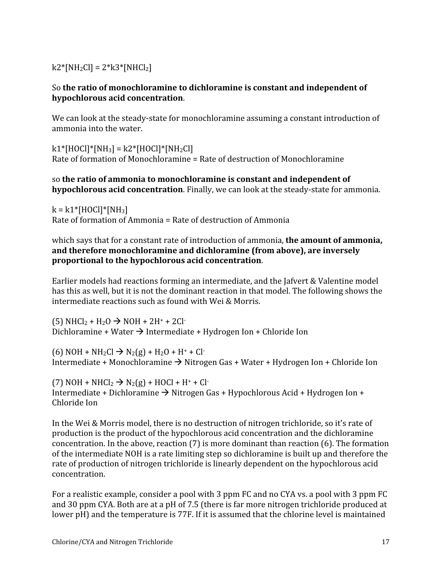$k2$ <sup>\*</sup>[NH<sub>2</sub>Cl] =  $2$ <sup>\*</sup> $k3$ <sup>\*</sup>[NHCl<sub>2</sub>]

## So the ratio of monochloramine to dichloramine is constant and independent of **hypochlorous
acid
concentration**.

We can look at the steady-state for monochloramine assuming a constant introduction of ammonia
into
the
water.

 $k1*[HOC]]*[NH_3] = k2*[HOC]]*[NH_2Cl]$ Rate
of
formation
of
Monochloramine
=
Rate
of
destruction
of
Monochloramine

## so **the
ratio
of
ammonia
to
monochloramine
is
constant
and
independent
of**  hypochlorous acid concentration. Finally, we can look at the steady-state for ammonia.

 $k = k1*$ [HOCl]\*[NH<sub>3</sub>] Rate
of
formation
of
Ammonia
=
Rate
of
destruction
of
Ammonia

which says that for a constant rate of introduction of ammonia, **the amount of ammonia**, **and
therefore
monochloramine
and
dichloramine
(from
above),
are
inversely proportional
to
the
hypochlorous
acid
concentration**.

Earlier models had reactions forming an intermediate, and the Jafvert & Valentine model has this as well, but it is not the dominant reaction in that model. The following shows the intermediate reactions such as found with Wei & Morris.

 $(5) NHCl<sub>2</sub> + H<sub>2</sub>O \rightarrow NOH + 2H<sup>+</sup> + 2Cl<sup>-</sup>$ Dichloramine + Water  $\rightarrow$  Intermediate + Hydrogen Ion + Chloride Ion

(6) NOH + NH<sub>2</sub>Cl  $\rightarrow$  N<sub>2</sub>(g) + H<sub>2</sub>O + H<sup>+</sup> + Cl<sup>-</sup> Intermediate + Monochloramine → Nitrogen Gas + Water + Hydrogen Ion + Chloride Ion

 $(7)$  NOH + NHCl<sub>2</sub>  $\rightarrow$  N<sub>2</sub>(g) + HOCl + H<sup>+</sup> + Cl<sup>-</sup> Intermediate + Dichloramine → Nitrogen Gas + Hypochlorous Acid + Hydrogen Ion + Chloride
Ion

In the Wei & Morris model, there is no destruction of nitrogen trichloride, so it's rate of production
is
the
product
of
the
hypochlorous
acid
concentration
and
the
dichloramine concentration. In the above, reaction (7) is more dominant than reaction (6). The formation of
the
intermediate
NOH
is
a
rate
limiting
step
so
dichloramine
is
built
up
and
therefore
the rate of production of nitrogen trichloride is linearly dependent on the hypochlorous acid concentration.

For a realistic example, consider a pool with 3 ppm FC and no CYA vs. a pool with 3 ppm FC and 30 ppm CYA. Both are at a pH of 7.5 (there is far more nitrogen trichloride produced at lower pH) and the temperature is 77F. If it is assumed that the chlorine level is maintained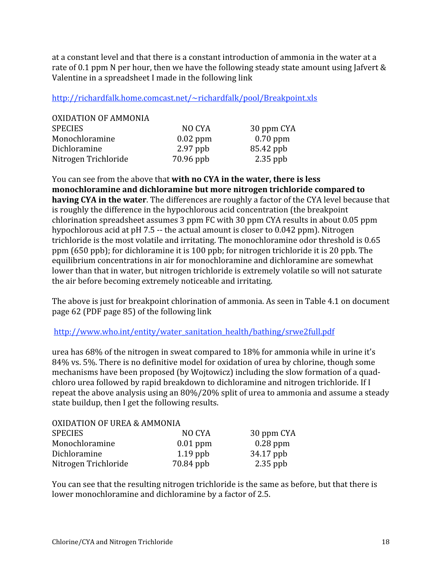at a constant level and that there is a constant introduction of ammonia in the water at a rate of 0.1 ppm N per hour, then we have the following steady state amount using Jafvert & Valentine in a spreadsheet I made in the following link

http://richardfalk.home.comcast.net/~richardfalk/pool/Breakpoint.xls

| NO CYA     | 30 ppm CYA |
|------------|------------|
| $0.02$ ppm | $0.70$ ppm |
| $2.97$ ppb | 85.42 ppb  |
| 70.96 ppb  | $2.35$ ppb |
|            |            |

You can see from the above that **with no CYA** in the water, there is less **monochloramine
and
dichloramine
but
more
nitrogen
trichloride
compared
to**  having CYA in the water. The differences are roughly a factor of the CYA level because that is
roughly
the
difference
in
the
hypochlorous
acid
concentration
(the
breakpoint chlorination
spreadsheet
assumes
3
ppm
FC
with
30
ppm
CYA
results
in
about
0.05
ppm hypochlorous acid at pH 7.5 -- the actual amount is closer to 0.042 ppm). Nitrogen trichloride is the most volatile and irritating. The monochloramine odor threshold is 0.65 ppm
(650
ppb);
for
dichloramine
it
is
100
ppb;
for
nitrogen
trichloride
it
is
20
ppb.
The equilibrium concentrations in air for monochloramine and dichloramine are somewhat lower than that in water, but nitrogen trichloride is extremely volatile so will not saturate the
air
before
becoming
extremely
noticeable
and
irritating.

The above is just for breakpoint chlorination of ammonia. As seen in Table 4.1 on document page
62
(PDF
page
85)
of
the
following
link

http://www.who.int/entity/water\_sanitation\_health/bathing/srwe2full.pdf

urea has 68% of the nitrogen in sweat compared to 18% for ammonia while in urine it's 84%
vs.
5%.
There
is
no
definitive
model
for
oxidation
of
urea
by
chlorine,
though
some mechanisms have been proposed (by Wojtowicz) including the slow formation of a quadchloro
urea
followed
by
rapid
breakdown
to
dichloramine
and
nitrogen
trichloride.
If
I repeat the above analysis using an 80%/20% split of urea to ammonia and assume a steady state
buildup,
then
I
get
the
following
results.

| <b>OXIDATION OF UREA &amp; AMMONIA</b> |            |            |
|----------------------------------------|------------|------------|
| <b>SPECIES</b>                         | NO CYA     | 30 ppm CYA |
| Monochloramine                         | $0.01$ ppm | $0.28$ ppm |
| Dichloramine                           | $1.19$ ppb | 34.17 ppb  |
| Nitrogen Trichloride                   | 70.84 ppb  | $2.35$ ppb |

You can see that the resulting nitrogen trichloride is the same as before, but that there is lower monochloramine and dichloramine by a factor of 2.5.